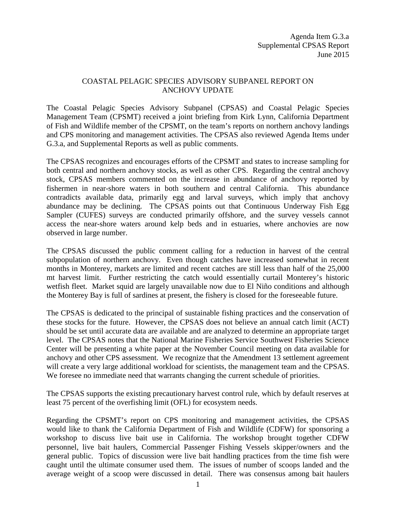## COASTAL PELAGIC SPECIES ADVISORY SUBPANEL REPORT ON ANCHOVY UPDATE

The Coastal Pelagic Species Advisory Subpanel (CPSAS) and Coastal Pelagic Species Management Team (CPSMT) received a joint briefing from Kirk Lynn, California Department of Fish and Wildlife member of the CPSMT, on the team's reports on northern anchovy landings and CPS monitoring and management activities. The CPSAS also reviewed Agenda Items under G.3.a, and Supplemental Reports as well as public comments.

The CPSAS recognizes and encourages efforts of the CPSMT and states to increase sampling for both central and northern anchovy stocks, as well as other CPS. Regarding the central anchovy stock, CPSAS members commented on the increase in abundance of anchovy reported by fishermen in near-shore waters in both southern and central California. This abundance contradicts available data, primarily egg and larval surveys, which imply that anchovy abundance may be declining. The CPSAS points out that Continuous Underway Fish Egg Sampler (CUFES) surveys are conducted primarily offshore, and the survey vessels cannot access the near-shore waters around kelp beds and in estuaries, where anchovies are now observed in large number.

The CPSAS discussed the public comment calling for a reduction in harvest of the central subpopulation of northern anchovy. Even though catches have increased somewhat in recent months in Monterey, markets are limited and recent catches are still less than half of the 25,000 mt harvest limit. Further restricting the catch would essentially curtail Monterey's historic wetfish fleet. Market squid are largely unavailable now due to El Niño conditions and although the Monterey Bay is full of sardines at present, the fishery is closed for the foreseeable future.

The CPSAS is dedicated to the principal of sustainable fishing practices and the conservation of these stocks for the future. However, the CPSAS does not believe an annual catch limit (ACT) should be set until accurate data are available and are analyzed to determine an appropriate target level. The CPSAS notes that the National Marine Fisheries Service Southwest Fisheries Science Center will be presenting a white paper at the November Council meeting on data available for anchovy and other CPS assessment. We recognize that the Amendment 13 settlement agreement will create a very large additional workload for scientists, the management team and the CPSAS. We foresee no immediate need that warrants changing the current schedule of priorities.

The CPSAS supports the existing precautionary harvest control rule, which by default reserves at least 75 percent of the overfishing limit (OFL) for ecosystem needs.

Regarding the CPSMT's report on CPS monitoring and management activities, the CPSAS would like to thank the California Department of Fish and Wildlife (CDFW) for sponsoring a workshop to discuss live bait use in California. The workshop brought together CDFW personnel, live bait haulers, Commercial Passenger Fishing Vessels skipper/owners and the general public. Topics of discussion were live bait handling practices from the time fish were caught until the ultimate consumer used them. The issues of number of scoops landed and the average weight of a scoop were discussed in detail. There was consensus among bait haulers